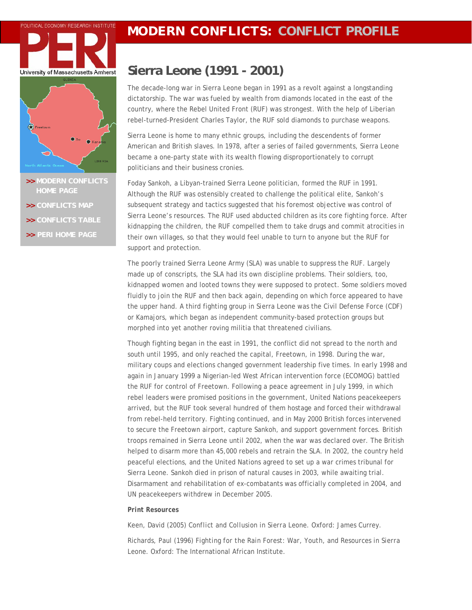## **POLITICAL ECONOMY RESEARCH INSTITUTE MODERN CONFLICTS: CONFLICT PROFILE**





- **>> [MODERN CONFLICTS](http://www.peri.umass.edu/index.php?id=396)**
- **>> [CONFLICTS MAP](http://www.peri.umass.edu/fileadmin/pdf/dpe/modern_conflicts/conflicts_map.pdf)**
- **>> [CONFLICTS TABLE](http://www.peri.umass.edu/fileadmin/pdf/dpe/modern_conflicts/conflicts_table.pdf)**
- **>> [PERI HOME PAGE](http://www.peri.umass.edu/)**

## **Sierra Leone (1991 - 2001)**

The decade-long war in Sierra Leone began in 1991 as a revolt against a longstanding dictatorship. The war was fueled by wealth from diamonds located in the east of the country, where the Rebel United Front (RUF) was strongest. With the help of Liberian rebel-turned-President Charles Taylor, the RUF sold diamonds to purchase weapons.

Sierra Leone is home to many ethnic groups, including the descendents of former American and British slaves. In 1978, after a series of failed governments, Sierra Leone became a one-party state with its wealth flowing disproportionately to corrupt politicians and their business cronies.

Foday Sankoh, a Libyan-trained Sierra Leone politician, formed the RUF in 1991. Although the RUF was ostensibly created to challenge the political elite, Sankoh's subsequent strategy and tactics suggested that his foremost objective was control of Sierra Leone's resources. The RUF used abducted children as its core fighting force. After kidnapping the children, the RUF compelled them to take drugs and commit atrocities in their own villages, so that they would feel unable to turn to anyone but the RUF for support and protection.

The poorly trained Sierra Leone Army (SLA) was unable to suppress the RUF. Largely made up of conscripts, the SLA had its own discipline problems. Their soldiers, too, kidnapped women and looted towns they were supposed to protect. Some soldiers moved fluidly to join the RUF and then back again, depending on which force appeared to have the upper hand. A third fighting group in Sierra Leone was the Civil Defense Force (CDF) or Kamajors, which began as independent community-based protection groups but morphed into yet another roving militia that threatened civilians.

Though fighting began in the east in 1991, the conflict did not spread to the north and south until 1995, and only reached the capital, Freetown, in 1998. During the war, military coups and elections changed government leadership five times. In early 1998 and again in January 1999 a Nigerian-led West African intervention force (ECOMOG) battled the RUF for control of Freetown. Following a peace agreement in July 1999, in which rebel leaders were promised positions in the government, United Nations peacekeepers arrived, but the RUF took several hundred of them hostage and forced their withdrawal from rebel-held territory. Fighting continued, and in May 2000 British forces intervened to secure the Freetown airport, capture Sankoh, and support government forces. British troops remained in Sierra Leone until 2002, when the war was declared over. The British helped to disarm more than 45,000 rebels and retrain the SLA. In 2002, the country held peaceful elections, and the United Nations agreed to set up a war crimes tribunal for Sierra Leone. Sankoh died in prison of natural causes in 2003, while awaiting trial. Disarmament and rehabilitation of ex-combatants was officially completed in 2004, and UN peacekeepers withdrew in December 2005.

## *Print Resources*

Keen, David (2005) *Conflict and Collusion in Sierra Leone.* Oxford: James Currey.

Richards, Paul (1996) *Fighting for the Rain Forest: War, Youth, and Resources in Sierra Leone.* Oxford: The International African Institute.